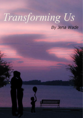# Transforming Us

# By Jena Wade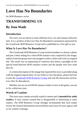# **Love Has No Boundaries**

### *An M/M Romance series*

# **TRANSFORMING US**

## **By Jena Wade**

## **Introduction**

The story you are about to read celebrates love, sex and romance between men. It is a product of the *Love Has No Boundaries* promotion sponsored by the *Goodreads M/M Romance Group* and is published as a free gift to you.

## **What Is Love Has No Boundaries?**

The *Goodreads M/M Romance Group* invited members to choose a photo and pen a letter asking for a short M/M romance story inspired by the image; authors from the group were encouraged to select a letter and write an original tale. The result was an outpouring of creativity that shone a spotlight on the special bond between M/M romance writers and the people who love what they do.

A written description of the image that inspired this story is provided along with the original request letter. If you'd like to view the photo, please feel free to join the [Goodreads M/M Romance Group](http://www.goodreads.com/group/show/20149-m-m-romance) and visit the discussion section: *Love Has No Boundaries*.

Whether you are an avid M/M romance reader or new to the genre, you are in for a delicious treat.

## **Words of Caution**

This story may contain sexually explicit content and is **intended for adult readers.** It may contain content that is disagreeable or distressing to some readers. The *M/M Romance Group* strongly recommends that each reader review the General Information section before each story for story tags as well as for content warnings.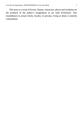This story is a work of fiction. Names, characters, places and incidents are the products of the author's imagination or are used fictitiously. Any resemblance to actual events, locales, or persons, living or dead, is entirely coincidental.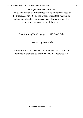All rights reserved worldwide This eBook may be distributed freely in its entirety courtesy of the *Goodreads M/M Romance Group*. This eBook may not be sold, manipulated or reproduced in any format without the express written permission of the author.

#### Transforming Us, Copyright © 2013 Jena Wade

#### Cover Art by Jena Wade

This ebook is published by the *M/M Romance Group* and is not directly endorsed by or affiliated with Goodreads Inc.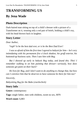# **TRANSFORMING US**

## **By Jena Wade**

## **Photo Description**

Dark-haired man sitting on top of a child's dresser with a picture of a Transformer on it, wearing only a red pair of briefs, holding a child's toy, with his head thrown back in laughter.

## **Story Letter**

*Dear Author*,

*\*sigh\* Is he the best dad ever, or is he the Best Dad Ever!*

*I was so afraid of him the first time I agreed to babysit for him— he's very intimidating with his permanent five o'clock shadow, his gruff exterior, his buttoned-up business suits. Then I saw him with Bug.*

*But I showed up early to babysit Bug today, and found this. This! I remember walking in on him painting that dresser—seriously, how does someone get paint on their back?* 

*He lives for Bug, and I don't want to do anything to change that, but how can I convince him that he deserves to have someone be there for him too?*

*Sincerely,*

*Babysitting Bug for the Babe (cturtlechick)*

## **Story Info**

**Genre:** contemporary

**Tags:** single father, men with children, sweet no sex, HFN

**Word count:** 6,883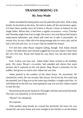## **TRANSFORMING US By Jena Wade**

Adam smoothed his damp palms over his pale blue polo shirt. With a deep breath, he knocked on the door. He tried to shake off the nervousness again. It'd been three months since he'd been to Bryan's house to babysit for the single father. Before that, it had been a regular occurrence—every Tuesday and Thursday night from four to eight. He wasn'tsure why Bryan had found a replacement babysitter, and Adam still tried not to take it personally. At twenty-five, he was a little old to be doing teenage jobs for extra cash, and he had a full-time job now, so it wasn't like he needed the money.

It'd still hurt when Bryan stopped calling, though. And Adam missed Colton. The little three-year-old had wiggled his way into Adam's heart from the very first day. Bryan had found his way there, too, but that had taken longer.

Four. Colton was four now. Adam hadn't been invited to the birthday party. His sister, Bryan's co-worker, had attended and shown him some pictures she'd captured on her cell phone. Bug, Bryan's nickname for the toddler, had grown so much since Adam last saw him.

Adam peeked in the window of the silent house. No movement. He checked his watch. He was on time, like always. He bit his lip. He could ring the doorbell, but if Bug was on the same nap schedule, it might wake him. As well-behaved as the kid was, interrupting his nap was not how Adam wanted to start the day.

He picked up the picnic basket he'd brought with him and turned the knob. The door was unlocked, so he let himself in.

"Bryan?" he whispered.

No response.

With another deep breath, he crossed the threshold. He knew his way around the one-story home and went straight to the kitchen to set the basket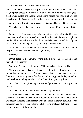down. As quietly as he could, he tip-toed through the living room. There were Legos spread across the floor in front of the couch. Bug had a pretty goodsized tower started and Adam smiled. He'd helped his sister pick out the Transformers Lego set for Bug's birthday, and it looked like they were a hit.

A grunt from down the hallway caught his ear and he turned to investigate.

When he reached the open door of Bug's bedroom, his eyes widened at the sight.

Bryan sat on the dresser clad only in a pair of bright red briefs. His bare chest was sprinkled with a patch of chest hair that trailed down through the middle of his six-pack abs. His dark hair was disheveled. He had dots of paint on his arms, with one big glob of yellow right above his eyebrow.

Adam wished he still had the picnic basket so he could hold it in front of his groin. His cock hardened at the sight of Bryan half naked.

#### "Bryan?"

Bryan dropped the Optimus Prime action figure he was holding and hopped off the dresser.

"Adam? What are you doing here?" Bryan's cheeks turned ruddy.

"Um, you texted me last week to see if I could watch Colton this afternoon. Something about a meeting…" Adam cleared his throat and averted his eyes from the man standing just a few feet from him. Apparently, Bryan had no qualms about standing mostly naked in front of his gay babysitter.

"Oh, shit." Bryan picked up the action figure and set it on top of the dresser.

Was that paint on his back? How did he get paint there?

Adam shook his head and looked around the room. Not much had changed since the last time he'd been there. A few more toys littered the space, but it was mostly the same. Transformers were piled high in the toy box. Bug loved the cartoon, and it was top on his wish list of toys, books, and clothes. If it had a Transformer on it, he wanted it.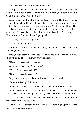"I forgot to tell you. My meeting was cancelled. I don't need you to watch Bug today. I'm really sorry." Bryan ran a hand through his hair, making it stand straight. "Shit, I feel like a jackass."

Adam nodded and tried to hide his disappointment. He'd been looking forward to watching Colton all week. Pretty lame for a grown man to be excited about babysitting a four-year-old anyway. Maybe he should spend his free day going to the coffee shop or park—try to meet some people or something. He needed to rid himself of this stupid crush on Bug's sexy dad. This wasn't his family and wasn't going to be.

"It's okay. Um, I'll just go, then."

"Adam! Adam! Adam!"

Little footsteps echoed down the hallway and within seconds Adam had a child hugging his knees.

"Hey, Bug!" Adam picked up the blond tyke and cradled him in his arms. "You've gotten so big. And why are you naked?"

"Daddy sleeps naked, so I do, too."

Adam raised his brow. "Oh, really?"

"Yeah. Do you sleep naked?"

"Um, no. I sleep in pajamas."

Bug pushed at Adam's chest until Adam set him on the floor.

"Is it done, Daddy? Is it done?"

Bryan's face lit when he smiled at his son and he ruffled Bug's hair.

Adam's chest tightened. Christ, he'd forgotten what a great father Bryan was. Always attentive, caring and patient, even when Bug was a holy terror.

"Yeah. It's done. Don't touch the sides. They're still wet." He pointed at the dresser. "What do you think?"

The dresser was painted off-white and a three-foot-high Optimus Prime picture covered the drawers.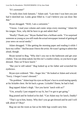"It's awesome!"

"It really does look fantastic," Adam said. "Last time I was here you just had it sketched out. Looks great filled in. I can't believe you can draw like that."

Bryan shrugged. "Well, I am a cartoonist."

"I know. I read your column and comic strips every morning." Adam bit his tongue. Now, why did he have to go and admit that?

"Really? Thank you." Bryan flashed him a brilliant smile. "I'm surprised someone as young as you still reads the actual newspaper instead of getting all your news on social media."

Adam shrugged. "I like getting the morning paper and reading it while I have my coffee." *And because I know the artist.* He wasn't going to admit that aloud, though.

Bryan turned to Bug. "Why don't you run to the bathroom and get your clothes. You can sleep naked, but this isn't a nudist colony, so you have to get dressed. Then we'll have lunch."

"But you're still naked." Bug looked up at his father and scrunched his eyebrows.

Bryan eyes widened. "Shi—Sugar Jets." He looked at Adam and winced. "Sorry. I forgot I wasn't dressed."

"No problem." Adam kept his eyes on Bryan'sface to avoid staring openly at his lickable chest. He bit back a groan. Lickable? Damn, he had it bad.

Bug tapped Adam's thigh. "Are you havin' lunch with us?"

"Um, actually I just stopped to say hi, but I've got to get going."

Bug pouted and he looked at his dad. "Can Adam stay for lunch, Daddy?

"That's up to him, honey. Why don't you go get dressed and he and I will talk about it? Okay?

Bug ran out the room as fast as his little legs would carry him.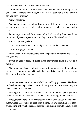"Would you like to stay for lunch? I feel terrible about forgetting to call you. Lunch is the least I could do, even if it is just SpaghettiOs. And I can still pay you for your time."

Ugh. That stung.

"Actually, I planned on taking Bug to the park for a picnic. I made a few sandwiches, put together a fruit salad, some cut-up vegetables, and pudding for dessert."

Bryan's eyes widened. "Awesome. Why don't we all go? You and I can catch up and you can spend time with Bug. He's really missed you."

*I haven't gone anywhere.*

"Sure. That sounds like fun." *And pure torture at the same time.*

"'Kay. I'll go get dressed."

"Um, Bryan? You might want to wash the paint off your arms, and face… and your back."

Bryan laughed. "Yeah, I'll jump in the shower real quick. I'll just be a minute."

"No problem." Adam scrubbed his face with his hands after Bryan left the room. Christ, his attraction to Bryan hadn't waned at all since he last saw him. This was going to be a long day.

\*\*\*\*

Adam retreated to the kitchen while Bryan and Bug got dressed. He shook his head. Bryan slept naked. He'd tuck that piece of information away for later—when he was in bed.

Making himself at home, he opened the fridge and slapped together a peanut butter and jelly sandwich. He hadn't made enough lunch for three.

"Hey, there you are." Bryan entered the kitchen with Bug on his shoulders. Adam wiped the counter to keep from staring. He was afraid his less-thanovert ogling of Bryan had caused the man to quit calling him to babysit in the first place.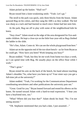Adam picked up the basket. "Shall we?"

Bryan tossed him a knee-weakening smile. "Yeah. Let's go."

The stroll to the park was quick, only three blocks from the house. Adam quizzed Bug on his colors, and they sang the ABCs as they walked. The kid was sharp as a tack and had learned so much since Adam had last seen him.

At the park, Bug ran off to play with some of the neighborhood kids he knew.

"Stay close!" Adam stood on the edge of the area designated for five-andunder children. He kept a close eye on the little four-year-old as Bug climbed the ladder to the slide.

"He's fine, Adam. Come sit. We can see the whole playground from here."

Adam sat on the opposite end of the too-short bench—as far from Bryan as he could get. "How have you been? Work keeping you busy?"

Bryan nodded. "Yeah, but they let me work from home two days a week, so I can spend time with Bug. He usually plays on the office floor while I work."

"That's great."

Bryan rested his arm on the back of the bench, his hand almost touching Adam's shoulder."So, what have you been up to? Your sister says you got a full-time job at the university?"

Adam nodded. "Yeah, I'm working for the Communications Department coordinating newsletters and other publications the university puts out."

"Great. Good for you." Bryan leaned forward and rested his elbows on his knees. He turned toward Adam with a hard-to-read expression. "I hear you have a boyfriend now, too."

"What? Where did you hear that?" Adam shook his head. "No. I'm not seeing anyone."

"Oh. Stephanie mentioned that you had a date, I just assumed…"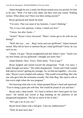Adam thought he saw a smile, but Bryan turned away too quickly for him to be sure. "Well, I've had a few dates, but they were just casual. Nothing serious. What about you? Have you been seeing anyone?"

Bryan grimaced and shook his head.

"I'm sorry. That was none of my business. I wasn't thinking."

"No, it was a fair question. I mean, I asked you first."

"I know, but after Annie—"

"Annie?" Bryan's brow furrowed. "What's Annie got to do with me not dating?"

"Well, she was… um… Bug's mom and your girlfriend." Adam stomach turned. Why did he have to mention Bryan's dead girlfriend? Christ, he was such an ass.

"Adam. I'm gay." Bryan straightened and met Adam's stare. "Annie was my best friend, not my girlfriend. I thought you knew that."

Adam blinked. Once. Twice. Three times. "You're gay?"

Bryan laughed and turned toward the playground. "Yeah. I'm sorry, I really thought you knew." His smile disappeared. "Annie and I both wanted kids and we weren't getting any younger. So, we had one together—via a testtube." Bryan's eyes clouded with sadness. "Shewould've loved Bug. She'sthe one who gave him the nickname actually. Her little Bug. She used to talk to him every night when she was pregnant."

Not knowing what else to do, Adam grasped Bryan's hand and squeezed. "You're doing a great job with him. She would be proud of you and him."

Bryan took a deep breath. "It's hard to believe she's been gone for four years." He smiled and waved at Bug standing on the platform of the playground equipment. "He has so much of her in him."

"He's got a lot of you, too."

Bryan faced Adam with a full grin. "Like my stubbornness?"

"Well, he does have that."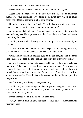Bryan narrowed his eyes. "You really didn't know I was gay?"

Adam shook his head. "No, it's none of my business. I just assumed that Annie was your girlfriend. I've never been given any reason to think otherwise." Despite spending a lot of time hoping.

Bryan's eyebrows shot up. "Really?" He looked down at their clasped hands. "I just figured that your sister would've told you."

Adam pulled his hand away. "No, she's not one to gossip. She probably assumed that you told me, you assumed thatshe told me, and I assumed it was none of my business."

"Well, you know what they say about assuming. Makes an ass out of you and me."

Adam chuckled. "That it does. So, what keeps you from dating then?" Oh, shit that really wasn't his business, but he was dying to know.

"Bug." Bryan turned his focused eyes on his son playing with the other kids. "He doesn't need me introducing a different guy every few weeks."

Alwaysthe vigilant father. Adam gazed at Bryan. His dark hair waslonger than when Adam had last seen him. His permanent five-o'clock shadow covered the lower half of hisface. Adam would gladly suffer whisker burn just to feel Bryan pressed up against him. Adam sighed. Bryan deserved to find someone to share his life with. And Adam was more than willing to apply for the position.

He shook away the thoughts. *Keep dreaming.*

"Well, now you're assuming that whoever you're seeing won't work out. You don't know until you try. After all you've been through, you deserve to take a little time for yourself."

Bryan smirked. "That's all easier said than done."

"But, you could have anyone. You're successful, sexy—" Adam clamped his mouth shut.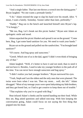"And a single father. That last one throws a wrench into the dating game." Bryan laughed. "No one wants a premade family."

"I do." Adam resisted the urge to slap his hand over his mouth. *Idiot.* "I mean, I want a family. Someday. Sooner rather than later, preferably."

"Daddy." Bug ran to the bench and launched himself onto Bryan's lap. "I'm hungry."

"Me too, Bug. Let's break out this picnic basket." Bryan sent Adam an apologetic smile and stood.

Adam unpacked the picnic blanket and spread it out on the ground. "Come here, Bug. I got some hand sanitizer for you. We need to wash your hands."

Bryan sat on the ground and pulled out the sandwiches. "You brought hand sanitizer?"

"Of course. And bug spray and sunscreen."

"Geesh. Which one of us is the dad, again? I didn't even think of bringing any of that."

Adam laughed. "Well, it's better to have it and not need, than to need it and not have it. Besides, I used to take my younger brothers to the park all of the time. You can never have enough sunscreen and bug spray."

"I didn't realize you had younger brothers." Bryan narrowed his eyes.

"Yeah, Steph and I are the oldest and the only ones that were planned. The twins were born when I was ten. Then my mom… well, she left." Adam shrugged. "Most of my teenage years were spent babysitting my little brothers, and they got bored fast, so I had to get creative to keep them out of trouble."

"That explains why you're so good with Bug."

Heat infused Adam's cheeks and he started handing out their food. While they ate, Bug asked questions and talked non-stop. With him keeping the conversation going, Adam could focus on not saying the first thing that popped into his head.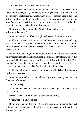Bug fell asleep on Adam's shoulder on the walk home. They'd eaten their lunch and then played tag. Which was more Bug chasing Adam and Bryan in circles, than an actual game. The afternoon tuckered the four-year-old out and within minutes of walking home, he asked Adam to carry him. There was no way Adam could resist those eyes, so much like his father's. He'd handed Bryan the picnic basket and swung Bug into his arms.

Bryan opened the door quietly. "Go ahead and put him in my bedroom. His still smells like paint."

Adam nodded and shuffled through the house to the master bedroom.

Unlike Bug's room and the rest of the house, which was neat and tidy, Bryan's room was a disaster. Clothes were strewn across the room—hanging off the dresser, piled on the floor. Everywhere. Adam shook his head. Theman needed a maid.

He carefully laid Bug onto the middle of the king-size bed and gathered pillows around him to keep him from rolling around. Not that it was likely that he would. The kid slept like a rock. He covered Bug with the blanket. With one last look to make sure he was asleep and secure on the bed, he left the room, trying not to imagine Bug's father sleeping there naked.

Inside the living room, Bryan sat on the couch with his head leaning back against the cushions.

Adam bit back a chuckle. Looked like Bug wasn't the only one tired out from their afternoon.

"He still asleep?"

Adam plopped on to the couch next to Bryan and sighed. "Oh, yeah, he'll be out for a bit."

Bryan scoffed. "Or he'll wake up early and be cranky."

"Yeah, that could happen, too."

Bryan turned and pulled one leg onto the couch, his foot resting against Adam's thigh. "Thank you for lunch and for getting us out of the house today. It was a lot of fun"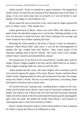Adam yawned. "Yeah, we should do it again sometime." He snapped his mouth closed. So much for not saying the first thing that came to his mind. "I mean, if you ever need some time to yourself or if you do decide to start dating, I'd be happy to watch Bug for you."

Bryan rested his arm on the back of the couch and his fingers grazed the back of Adam's neck. "That sounds nice."

Adam gazed back at Bryan, whose eyes were filled with interest and a spark of lust. He darted his tongue out to wet his lips, debating whether or not now was the time to make his move. He'd been wanting to for so long, and when would he have another opening like that?

Reaching his hand around to the back of Bryan's head, he hesitated a moment. When Bryan didn't pull away, it was all the encouragement he needed. His lips crashed hard onto Bryan's. They tasted faintly of the chocolate pudding they'd had for dessert. The sweet scent of his cologne tickled Adam's nostrils and intensified his arousal.

He moaned low in his throat as he coaxed Bryan's mouth open with his tongue. Bryan's fingers tangled in his hair and his other hand lay on Adam's chest, fingers sneaking under his collar to touch his skin.

Adam pushed into the caress. His body tingled with excitement and his cock pressed against the zipper of his jeans. Bryan's hands wandered down Adam's body, slipping under his shirt and resting above his hips. His tongue swept into Adam's mouth. The kiss was sheer perfection, everything Adam had hoped it would be and so much more.

He bucked forward, wanting more, needing Bryan's hands on his skin. Adam slid his hands down Bryan's back until he found the waistband of his khakis. He ached to see if Bryan still wore the red briefs from this morning. Adam moved his hands to the front and found the button quickly and popped it open with one hand. He pulled his mouth from Bryan's and focused on releasing the man's cock from its prison of fabric.

Bryan's hands returned to Adam's chest and he pushed. It took a moment for Adam to grasp that Bryan was telling him to stop.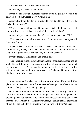He met Bryan's eyes. "What's wrong?"

Bryan looked away and fumbled with the fly of his pants. "We can't do this." He stood and walked away. "It's not right."

Adam's heart thundered in his chest and he struggled to catch his breath. "What do you mean?"

"You're a young kid, Adam." Bryan shook his head. "I can't do casual hookups. I'm a single father—it wouldn't be right for Colton."

Adam collapsed into the sofa like he'd been sucker-punched. "Oh."

"You have your whole life ahead of you. You don't want to tie yourself down to a family."

Anger killed the last of Adam's arousal and he shot to hisfeet. "I'd like the option, thank you very much." He kept his voice low, so they didn't disturb Bug. "I'm a grown man. I can make my own damn decisions."

Bryan winced. "I think maybe you should go."

Tension settled in the air around them. Adam's shoulders slumped and he walked toward the door. He glanced down the hallway to Bug's room and briefly wondered if he'd ever see the kid again—or his dad. Damn him for getting too attached to a family that wasn't his. And damn Bryan for letting him have a taste of what could be.

\*\*\*\*

Adam stared at the television while some sort of terrible sci-fi thriller played out on the screen. Were those sharks with octopus tentacles? What the hell kind of crap was he watching anyway?

He searched around for the remote just as his phone rang. A glance at the clock told him it was well into Saturday night. He picked up the phone and pressed ignore, not wanting to tell his friends he wasn't coming out for yet another Saturday night. For the past two weeks, he couldn't shake the feeling of loss that had settled in his chest the moment he'd left Bryan's house.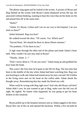The phone rang again and he looked at the screen. A picture of Bryan and Bug flashed on the screen with Bryan's name displayed across the top. He answered without thinking, wanting to hear the voice that set his body on fire and pissed him off at the same time.

"Hello?"

"Adam. It's Bryan. Colton and I are on our way to the hospital. Can you meet us there?"

Adam hesitated. Bug was hurt?

He walked toward the door. "Of course. Yes. Which one?"

"Sacred Heart. We should be there in about fifteen minutes."

"No problem. I'll be there in ten."

A sigh came through the other end of the phone and made Adam's heart melt. Why couldn't he just stay mad at Bryan?

"Thanks, Adam. I—"

"Don't worry about it. I'll see you soon." Adam hung up and grabbed his keys from the hook.

This wasn't the first time he'd gone to the ER for Bug. The last time had been in the middle of the day when Adam had been watching him. Bug was just learning to walk and Adam had turned away for just a second. He'd fallen in the living room and cut his head on the coffee table. Adam shook the thought away. Remembering that day made his blood run cold.

What could be wrong with Bug right now? And why did Bryan call him? Adam didn't care, he just wanted to get to Bug, make sure the kid was all right. He sighed. No matter what happened, he was going to get his heart broken in this situation.

\*\*\*\*

Bryan pulled up to the hospital entrance just as Adam jogged to the door. Bryan flew out of the car and opened the backseat. Within a few seconds he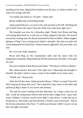had Bug in his arms. Bug had his blanket over his face, so Adam couldn't see what was wrong with him.

"Go inside and check in. I'll park," Adam said.

Bryan nodded and carried Bug inside.

Adam parked Bryan's car next to his and ran back to the ER. Did Bug fall out of bed? Down the stairs? Was the child even conscious right now?

The hospital was slow for a Saturday night. Thank God. Bryan and Bug were being taken back to a room just as Adam stepped in the door. He moved toward the waiting area, but Bryan motioned for him to follow. Adamcaught a glimpse of Bug's face resting on his father's shoulder. His skin was pale and sweat dampened his blond hair. Adam stomach tightened. His poor baby was sick.

## *He's not your baby, dumbass.*

Bryan laid Bug on the examination table and the nurse took his temperature and pulse. Bug remained still the entire time. He didn't even open his eyes.

The nurse smiled at both Bryan and Adam. "The doctor will be in shortly."

*How about quicker than that? Like right now?* Adam kept the thought to himself. He didn't need to cause a scene in the middle of an exam room.

"Thank you," Bryan said.

After she left the room, Adam turned to Bryan. "What's wrong? Is he sick? How long has he been this way?" He scooted his chair closer to the table and picked up Bug's hand. It was warm and clammy.

"He said he wasn't feeling well this afternoon. So, I kept a close eye on him. I took his temperature before bed and he had a slight fever. I gave him some Children's Tylenol, but his fever didn't come down. I woke him up to bring him in. And when I got him dressed, I found a rash on his back." Bryan bit his lip and stared at the floor. "I called you because I didn't want to sit up here all night worrying."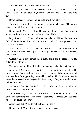"I'm glad you called." Adam cleared his throat. "Even though we… you know. I'd still like to watch Bug whenever you need me to. I miss the little guy."

Bryan nodded. "I know. I wanted to talk with you about—"

The doctor came in the room holding a clipboard in his hand. "Hello, Mr. Daniels, what brings you in this evening?"

Bryan stood. "My son, Colton. He has a one hundred and four fever. It started earlier this evening, and he has a rash on his back."

Bug stirred and both Bryan and Adam moved to hold him still so he didn't fall off the table. His lips curled into a pout and little tears pooled in the corners of his eyes.

"It's okay, Bug. You're just at the doctor's office. Your dad and I are right here." Adam brushed the damp hair from Bug's forehead as the child turned to look at him.

"Adam!" Bug's pout turned into a small smile and he reached out for Adam to pick him up.

"Go ahead and hold him. I'll take a look at his back," the doctor said.

Adam held Bug in his arms and the boy snuggled into his shoulder. He looked over at Bryan, realizing he maybe overstepping his bounds as a friend who was there for support. Bryan stared back at him. His dark hair pointed in every direction and he had bags under his amber eyes. Maybe he needed Adam to hold him, too.

"Is this the first day that he hasn't felt well?" the doctor asked as he inspected the rash on Bug's back.

"Well, yesterday he didn't want to eat and said he had a sore throat. I didn't think anything of it. I was trying to get him to eat broccoli, so I assumed he was just being stubborn."

Adam chuckled. "You don't like broccoli either."

Bryan smiled. "No, but he's never given it a chance."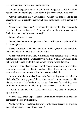The doctor began writing on his clipboard. "It appears as if little Colton has chicken pox. Nothing to worry about, it just needs to run its course."

"Isn't he young for that?" Bryan asked. "Colton was supposed to get the vaccine, but he's allergic to Neomycin. I guess I didn't expect it to happen this soon."

"It can happen at any age. The younger the better, really. The rash usually lasts about five to ten days, and he'll be contagious until the bumps crust over. Both of you have had it before, correct?"

Bryan and Adam nodded.

"Great, then there's nothing to worry about. He'll have to stay home while he's contagious."

Bryan's brow furrowed. "That won't be a problem, I can always work from home and when I do have to go into the office—"

"I can work from home, also. We'll figure out a schedule." No way was Adam going to let his little Bug suffer without him. Whether Bryan liked it or not, he'd pulled Adam into this and he was staying for the duration.

The doctor nodded and smiled. "Good. You can give him some over-thecounter fever-reducing medication, and once his rash sets in, I suggest using some anti-itch cream or soaking him in a baking soda bath."

Adam chuckled as he rocked Bug gently. "And getting some oven mitts for his hands. This little guy won't listen when we tell him not to scratch." He glanced at Bryan. "My brothers had it when they were four and they were terrible with the scratching. Now they have some small scars from it."

The doctor nodded. "Yes, that is a concern. You don't want him opening up any sores."

"Thank you, Doctor. I appreciate it." Bryan rolled his shoulders back and the tension cleared from his face.

"Not a problem. If his fever gets worse, or he doesn't regain his appetite, give Colton's primary pediatrician a call."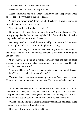Bryan nodded and picked up Bug's blanket.

Adam carried Bug back to the lobby while Bryan signed paperwork. Once he was done, they walked to the car together.

"Thank you for coming." Bryan smiled. "I feel silly. It never occurred to me that he could have chicken pox."

"It's not a problem. I'm glad you called."

Bryan opened the door of the car and Adam set Bug into his car seat. The little guy slept like the dead, even though he didn't feel well. Adam bit back a laugh as he buckled the straps to the car seat.

He straightened and closed the door quickly. "He doesn't feel as warm now, though it could just be from holding him for so long."

"That's good." Bryan shuffled his feet. "Would you like to come back to the house? I feel like I owe you coffee or maybe a stiff drink after dragging you out so late."

"Sure. Why don't I stop at a twenty-four-hour store and pick up some cortisone cream and baking soda? That way we—I mean, you—won't have to leave the house tomorrow."

"That would be great." Bryan opened the driver's side door and slid inside. "Adam? You had it right when you said 'we'."

The door closed, leaving Adam contemplating what Bryan could've meant. The man was hard to understand sometimes. He's lucky he had a cute kid.

\*\*\*\*

Adam picked up everything he could think of that Bug might need in the next few days—juice, popsicles, anti-itch cream, baking soda. Plus, he found a cheap Transformers toy that changed from a robot to a car. Bug probably had a million like it, but it would make him smile while he was feeling sick.

When he finally arrived at Bryan's house it was dark. He let himself in the front door and tip-toed to Bug's bedroom.

Bug was half-awake and talking to Bryan.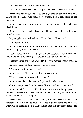"But I didn't see any chickens." Bug rubbed his tired eyes and frowned.

Bryan chuckled. "No, honey. You don't get chicken pox from chickens. That's just the name. Get some sleep, buddy. You'll feel better in the morning."

Adam leaned against the doorframe, drinking in the sight of Bryan tucking his child into bed.

Bryan kissed Bug's forehead and stood. He switched on the night-light and turned to leave.

Bug snuggled into the blankets. "'Night, Daddy. I love you."

"I love you, too, Bug."

Bug glanced up at Adam in the doorway and hugged his teddy hear closer to him. "'Night, Adam. I love you."

Adam cleared his throat. "'Night, Bug. I love you, too." The kid sure knew how to tug on his heartstrings. He probably got that from his father.

Together, Bryan and Adam walked to the living room and sat on the sofa.

Exhaustion rippled through Adam and he yawned.

"I'm sorry I kept you out so late."

Adam shrugged. "It's not a big deal. I was up anyway."

"You can sleep on the couch if you want."

Adam turned his head to stare at Bryan with a raised brow.

Crimson swept over Bryan's cheeks. "I'm sorry about… you know."

Adam chuckled. "You shouldn't be sorry. I'm sorry. I thought you were interested." He shook his head. "I obviously saw something that wasn't there. It was a stupid move on my part."

Bryan picked up Adam's hand. "No, you weren't seeing things. I am attracted to you. I'd love to have the chance to go out sometime on a date, where we eat something other than peanut butter and jelly sandwiches." He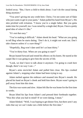looked away. "But, I have a child to think about. I can't do the casual dating thing anymore."

"You aren't giving me any credit here. Christ, I'm not some sort of flake who just wants to get in your pants." Adam pulled his hand from Bryan's. His skin prickled with irritation. "I know you're a single father. But you gotta make time for yourself, too. I was raised by a single dad, Bryan. I have a pretty good idea of what it's like."

"It's not that easy."

"You're making it difficult." Adam shook his head. "What are you going to tell Bug when he starts dating. 'Don't do it, it might not work out. Don't take chances unless it's a sure thing?'"

"Hopefully, Bug won't date until he's at least thirty."

"You're thirty-four. When are you going to start?"

Bryan leaned forward and rested his elbows on his knees. He stared at the carpet like it was going to give him the secrets of life.

"Look, we don't have to talk about it anymore. I'm going to crash here though, there's no way I can—"

Bryan's arms encircled Adam and pulled him close. His lips crushed against Adam's, stopping what Adam had been trying to say.

Adam melted against the embrace and moaned into Bryan's mouth. He placed his hand on Bryan's cheek and held him there. Bryan wasn't going to pull away from him this time.

The kiss was warm and slow. Adam felt like he was home for the first time in weeks.

Bryan lifted his lips from Adam's and pressed their foreheads together. "Was this what you had in mind? If we were dating, I mean."

Adam blinked. "Well, I was hoping to get dinner first, but there aren't any rules that say we can't make out a little before the first date."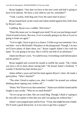Bryan laughed. "Any date we have in the next week and half is going to have to be takeout. We have a sick child to care for, remember?"

"Yeah. Luckily, both Bug and I love the same kind of pizza."

Bryan leaned back on the couch and Adam settled against him, held close by Bryan's arms.

Cuddling. Bryan was a cuddler. Who knew?

"Does this mean you've changed your mind? Or are you just being a tease? I kind of need to know, like now, if we're actually going to try this or if you're going to freak out again."

"You're right. I have to give us a chance. I'd like to go out sometime. On a real date—not to McDonald's Playplace or the playground. Though, I'm sure we'll have plenty of dates there, too." Bryan cupped Adam's face with his hand. "It's not going to be easy. But it will be one hell of an adventure."

Adam met Bryan's eyes. "It could be easy. Everything could fall into place and be perfect."

Bryan laughed and covered his mouth to muffle the sound. "Oh, I think you have a bit to learn about raising kids." He kissed Adam's forehead. "I wonder if Rachel has had chicken pox."

Adam stifled a yawn and laid his head against Bryan's chest. He made a good pillow. "Who's Rachel?"

"The sitter I hired to replace you, after I couldn't be around you without thinking about ripping your clothes off."

"Hmm. We'll have to try that sometime." Adam eyes drifted closed and he fought to stay awake. "Why do we need Rachel?"

"So we can go on a date. She can watch Bug. Though, I think it's going to be your job to explain to him that you and I are going out without him."

Adam's eyes popped open and he froze. "Yeah, that might become a battle. We'll need a good distraction. Is it too soon to get him a puppy?"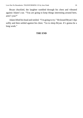Bryan chuckled, the laughter rumbled through his chest and vibrated against Adam's ear. "You are going to keep things interesting around here, aren't you?"

Adam lifted his head and smiled. "I'm going to try." He kissed Bryan's lips softly and then settled against his chest. "Go to sleep Bryan. It's gonna be a long week."

## **THE END**